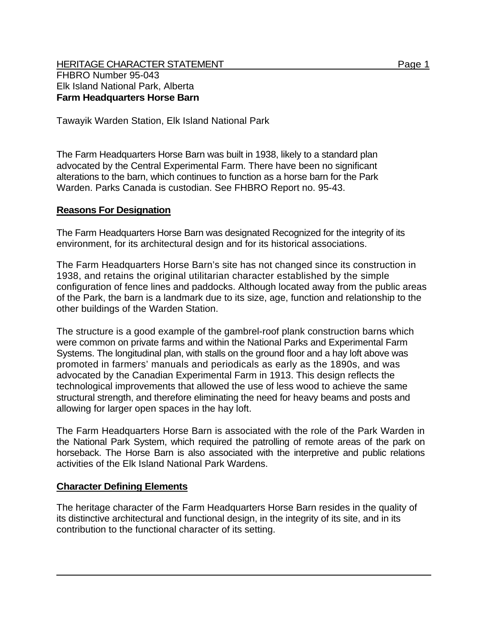Tawayik Warden Station, Elk Island National Park

The Farm Headquarters Horse Barn was built in 1938, likely to a standard plan advocated by the Central Experimental Farm. There have been no significant alterations to the barn, which continues to function as a horse barn for the Park Warden. Parks Canada is custodian. See FHBRO Report no. 95-43.

## **Reasons For Designation**

The Farm Headquarters Horse Barn was designated Recognized for the integrity of its environment, for its architectural design and for its historical associations.

The Farm Headquarters Horse Barn's site has not changed since its construction in 1938, and retains the original utilitarian character established by the simple configuration of fence lines and paddocks. Although located away from the public areas of the Park, the barn is a landmark due to its size, age, function and relationship to the other buildings of the Warden Station.

The structure is a good example of the gambrel-roof plank construction barns which were common on private farms and within the National Parks and Experimental Farm Systems. The longitudinal plan, with stalls on the ground floor and a hay loft above was promoted in farmers' manuals and periodicals as early as the 1890s, and was advocated by the Canadian Experimental Farm in 1913. This design reflects the technological improvements that allowed the use of less wood to achieve the same structural strength, and therefore eliminating the need for heavy beams and posts and allowing for larger open spaces in the hay loft.

The Farm Headquarters Horse Barn is associated with the role of the Park Warden in the National Park System, which required the patrolling of remote areas of the park on horseback. The Horse Barn is also associated with the interpretive and public relations activities of the Elk Island National Park Wardens.

## **Character Defining Elements**

The heritage character of the Farm Headquarters Horse Barn resides in the quality of its distinctive architectural and functional design, in the integrity of its site, and in its contribution to the functional character of its setting.